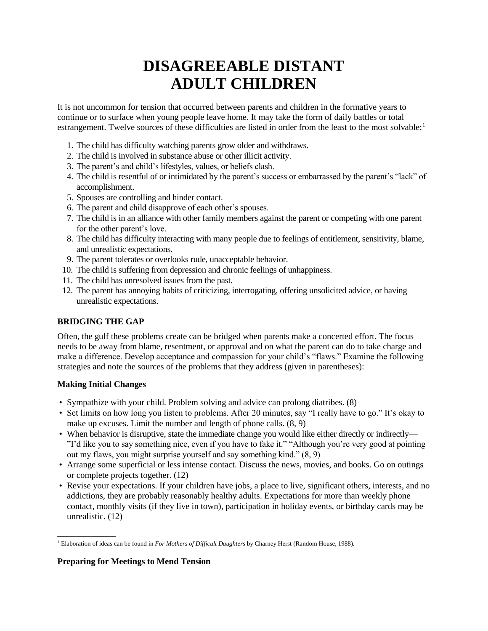# **DISAGREEABLE DISTANT ADULT CHILDREN**

It is not uncommon for tension that occurred between parents and children in the formative years to continue or to surface when young people leave home. It may take the form of daily battles or total estrangement. Twelve sources of these difficulties are listed in order from the least to the most solvable:<sup>1</sup>

- 1. The child has difficulty watching parents grow older and withdraws.
- 2. The child is involved in substance abuse or other illicit activity.
- 3. The parent's and child's lifestyles, values, or beliefs clash.
- 4. The child is resentful of or intimidated by the parent's success or embarrassed by the parent's "lack" of accomplishment.
- 5. Spouses are controlling and hinder contact.
- 6. The parent and child disapprove of each other's spouses.
- 7. The child is in an alliance with other family members against the parent or competing with one parent for the other parent's love.
- 8. The child has difficulty interacting with many people due to feelings of entitlement, sensitivity, blame, and unrealistic expectations.
- 9. The parent tolerates or overlooks rude, unacceptable behavior.
- 10. The child is suffering from depression and chronic feelings of unhappiness.
- 11. The child has unresolved issues from the past.
- 12. The parent has annoying habits of criticizing, interrogating, offering unsolicited advice, or having unrealistic expectations.

## **BRIDGING THE GAP**

Often, the gulf these problems create can be bridged when parents make a concerted effort. The focus needs to be away from blame, resentment, or approval and on what the parent can do to take charge and make a difference. Develop acceptance and compassion for your child's "flaws." Examine the following strategies and note the sources of the problems that they address (given in parentheses):

## **Making Initial Changes**

\_\_\_\_\_\_\_\_\_\_\_\_\_\_\_\_\_\_\_

- Sympathize with your child. Problem solving and advice can prolong diatribes. (8)
- Set limits on how long you listen to problems. After 20 minutes, say "I really have to go." It's okay to make up excuses. Limit the number and length of phone calls. (8, 9)
- When behavior is disruptive, state the immediate change you would like either directly or indirectly— "I'd like you to say something nice, even if you have to fake it." "Although you're very good at pointing out my flaws, you might surprise yourself and say something kind." (8, 9)
- Arrange some superficial or less intense contact. Discuss the news, movies, and books. Go on outings or complete projects together. (12)
- Revise your expectations. If your children have jobs, a place to live, significant others, interests, and no addictions, they are probably reasonably healthy adults. Expectations for more than weekly phone contact, monthly visits (if they live in town), participation in holiday events, or birthday cards may be unrealistic. (12)

#### **Preparing for Meetings to Mend Tension**

<sup>1</sup> Elaboration of ideas can be found in *For Mothers of Difficult Daughters* by Charney Herst (Random House, 1988).